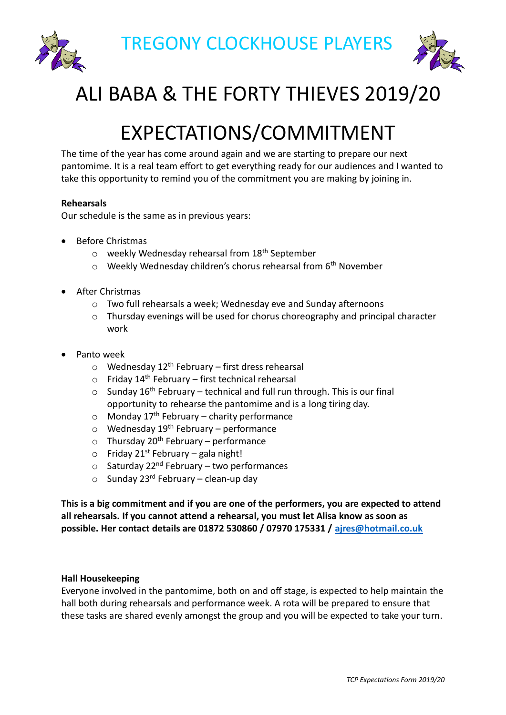TREGONY CLOCKHOUSE PLAYERS





# ALI BABA & THE FORTY THIEVES 2019/20

# EXPECTATIONS/COMMITMENT

The time of the year has come around again and we are starting to prepare our next pantomime. It is a real team effort to get everything ready for our audiences and I wanted to take this opportunity to remind you of the commitment you are making by joining in.

# **Rehearsals**

Our schedule is the same as in previous years:

- Before Christmas
	- $\circ$  weekly Wednesday rehearsal from 18<sup>th</sup> September
	- $\circ$  Weekly Wednesday children's chorus rehearsal from 6<sup>th</sup> November
- After Christmas
	- o Two full rehearsals a week; Wednesday eve and Sunday afternoons
	- $\circ$  Thursday evenings will be used for chorus choreography and principal character work
- Panto week
	- $\circ$  Wednesday 12<sup>th</sup> February first dress rehearsal
	- $\circ$  Friday 14<sup>th</sup> February first technical rehearsal
	- $\circ$  Sunday 16<sup>th</sup> February technical and full run through. This is our final opportunity to rehearse the pantomime and is a long tiring day.
	- $\circ$  Monday 17<sup>th</sup> February charity performance
	- $\circ$  Wednesday 19<sup>th</sup> February performance
	- $\circ$  Thursday 20<sup>th</sup> February performance
	- $\circ$  Friday 21<sup>st</sup> February gala night!
	- $\circ$  Saturday 22<sup>nd</sup> February two performances
	- $\circ$  Sunday 23<sup>rd</sup> February clean-up day

**This is a big commitment and if you are one of the performers, you are expected to attend all rehearsals. If you cannot attend a rehearsal, you must let Alisa know as soon as possible. Her contact details are 01872 530860 / 07970 175331 / [ajres@hotmail.co.uk](mailto:ajres@hotmail.co.uk)**

## **Hall Housekeeping**

Everyone involved in the pantomime, both on and off stage, is expected to help maintain the hall both during rehearsals and performance week. A rota will be prepared to ensure that these tasks are shared evenly amongst the group and you will be expected to take your turn.